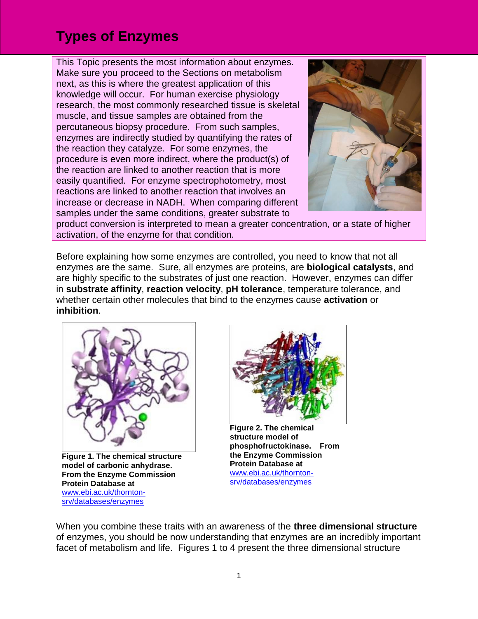This Topic presents the most information about enzymes. Make sure you proceed to the Sections on metabolism next, as this is where the greatest application of this knowledge will occur. For human exercise physiology research, the most commonly researched tissue is skeletal muscle, and tissue samples are obtained from the percutaneous biopsy procedure. From such samples, enzymes are indirectly studied by quantifying the rates of the reaction they catalyze. For some enzymes, the procedure is even more indirect, where the product(s) of the reaction are linked to another reaction that is more easily quantified. For enzyme spectrophotometry, most reactions are linked to another reaction that involves an increase or decrease in NADH. When comparing different samples under the same conditions, greater substrate to



product conversion is interpreted to mean a greater concentration, or a state of higher activation, of the enzyme for that condition.

Before explaining how some enzymes are controlled, you need to know that not all enzymes are the same. Sure, all enzymes are proteins, are **biological catalysts**, and are highly specific to the substrates of just one reaction. However, enzymes can differ in **substrate affinity**, **reaction velocity**, **pH tolerance**, temperature tolerance, and whether certain other molecules that bind to the enzymes cause **activation** or **inhibition**.



**Figure 1. The chemical structure model of carbonic anhydrase. From the Enzyme Commission Protein Database at**  [www.ebi.ac.uk/thornton](http://www.ebi.ac.uk/thornton-srv/databases/enzymes)[srv/databases/enzymes](http://www.ebi.ac.uk/thornton-srv/databases/enzymes)



**Figure 2. The chemical structure model of phosphofructokinase. From the Enzyme Commission Protein Database at** [www.ebi.ac.uk/thornton](http://www.ebi.ac.uk/thornton-srv/databases/enzymes)[srv/databases/enzymes](http://www.ebi.ac.uk/thornton-srv/databases/enzymes)

When you combine these traits with an awareness of the **three dimensional structure** of enzymes, you should be now understanding that enzymes are an incredibly important facet of metabolism and life. Figures 1 to 4 present the three dimensional structure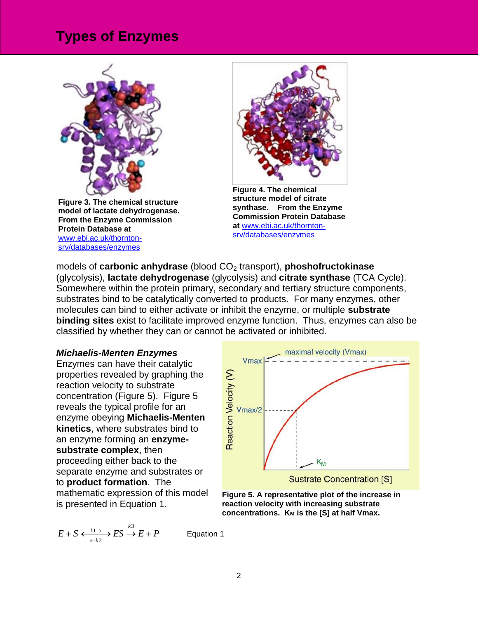

**Figure 3. The chemical structure model of lactate dehydrogenase. From the Enzyme Commission Protein Database at**  [www.ebi.ac.uk/thornton](http://www.ebi.ac.uk/thornton-srv/databases/enzymes)[srv/databases/enzymes](http://www.ebi.ac.uk/thornton-srv/databases/enzymes)



**Figure 4. The chemical structure model of citrate synthase. From the Enzyme Commission Protein Database at** [www.ebi.ac.uk/thornton](http://www.ebi.ac.uk/thornton-srv/databases/enzymes)[srv/databases/enzymes](http://www.ebi.ac.uk/thornton-srv/databases/enzymes)

models of **carbonic anhydrase** (blood CO<sub>2</sub> transport), **phoshofructokinase** (glycolysis), **lactate dehydrogenase** (glycolysis) and **citrate synthase** (TCA Cycle). Somewhere within the protein primary, secondary and tertiary structure components, substrates bind to be catalytically converted to products. For many enzymes, other molecules can bind to either activate or inhibit the enzyme, or multiple **substrate binding sites** exist to facilitate improved enzyme function. Thus, enzymes can also be classified by whether they can or cannot be activated or inhibited.

#### *Michaelis-Menten Enzymes*

Enzymes can have their catalytic properties revealed by graphing the reaction velocity to substrate concentration (Figure 5). Figure 5 reveals the typical profile for an enzyme obeying **Michaelis-Menten kinetics**, where substrates bind to an enzyme forming an **enzymesubstrate complex**, then proceeding either back to the separate enzyme and substrates or to **product formation**. The mathematic expression of this model is presented in Equation 1.

$$
E + S \xleftrightarrow[k] \xrightarrow{\text{k1}} ES \xrightarrow{\text{k3}} E + P
$$

maximal velocity (Vmax) Vmax Reaction Velocity (V) Vmax/2  $K_M$ **Sustrate Concentration [S]** 



Equation 1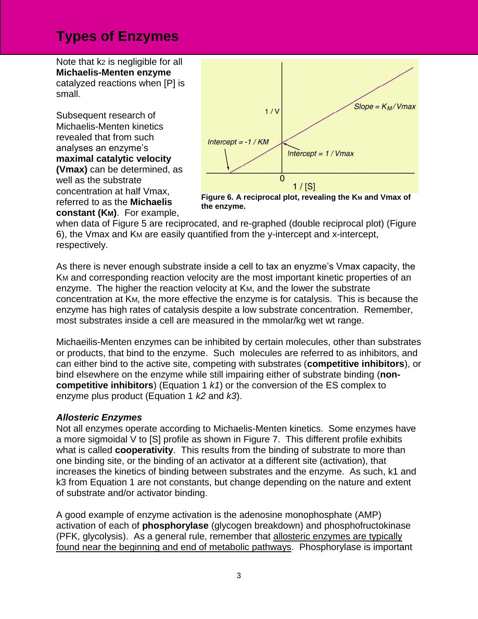Note that k2 is negligible for all **Michaelis-Menten enzyme** catalyzed reactions when [P] is small.

Subsequent research of Michaelis-Menten kinetics revealed that from such analyses an enzyme's **maximal catalytic velocity (Vmax)** can be determined, as well as the substrate concentration at half Vmax, referred to as the **Michaelis constant (KM)**. For example,



**Figure 6. A reciprocal plot, revealing the K<sub>M</sub> and Vmax of the enzyme.**

when data of Figure 5 are reciprocated, and re-graphed (double reciprocal plot) (Figure 6), the Vmax and KM are easily quantified from the y-intercept and x-intercept, respectively.

As there is never enough substrate inside a cell to tax an enyzme's Vmax capacity, the KM and corresponding reaction velocity are the most important kinetic properties of an enzyme. The higher the reaction velocity at KM, and the lower the substrate concentration at KM, the more effective the enzyme is for catalysis. This is because the enzyme has high rates of catalysis despite a low substrate concentration. Remember, most substrates inside a cell are measured in the mmolar/kg wet wt range.

Michaeilis-Menten enzymes can be inhibited by certain molecules, other than substrates or products, that bind to the enzyme. Such molecules are referred to as inhibitors, and can either bind to the active site, competing with substrates (**competitive inhibitors**), or bind elsewhere on the enzyme while still impairing either of substrate binding (**noncompetitive inhibitors**) (Equation 1 *k1*) or the conversion of the ES complex to enzyme plus product (Equation 1 *k2* and *k3*).

#### *Allosteric Enzymes*

Not all enzymes operate according to Michaelis-Menten kinetics. Some enzymes have a more sigmoidal V to [S] profile as shown in Figure 7. This different profile exhibits what is called **cooperativity**. This results from the binding of substrate to more than one binding site, or the binding of an activator at a different site (activation), that increases the kinetics of binding between substrates and the enzyme. As such, k1 and k3 from Equation 1 are not constants, but change depending on the nature and extent of substrate and/or activator binding.

A good example of enzyme activation is the adenosine monophosphate (AMP) activation of each of **phosphorylase** (glycogen breakdown) and phosphofructokinase (PFK, glycolysis). As a general rule, remember that allosteric enzymes are typically found near the beginning and end of metabolic pathways. Phosphorylase is important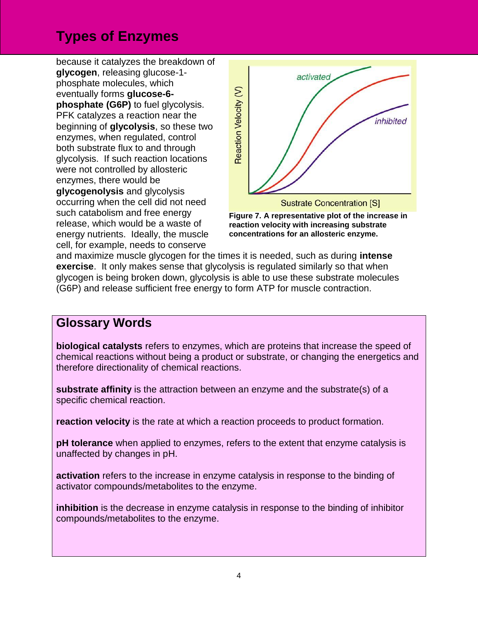because it catalyzes the breakdown of **glycogen**, releasing glucose-1 phosphate molecules, which eventually forms **glucose-6 phosphate (G6P)** to fuel glycolysis. PFK catalyzes a reaction near the beginning of **glycolysis**, so these two enzymes, when regulated, control both substrate flux to and through glycolysis. If such reaction locations were not controlled by allosteric enzymes, there would be **glycogenolysis** and glycolysis occurring when the cell did not need such catabolism and free energy release, which would be a waste of energy nutrients. Ideally, the muscle cell, for example, needs to conserve





**concentrations for an allosteric enzyme.**

and maximize muscle glycogen for the times it is needed, such as during **intense exercise**. It only makes sense that glycolysis is regulated similarly so that when glycogen is being broken down, glycolysis is able to use these substrate molecules (G6P) and release sufficient free energy to form ATP for muscle contraction.

### **Glossary Words**

**biological catalysts** refers to enzymes, which are proteins that increase the speed of chemical reactions without being a product or substrate, or changing the energetics and therefore directionality of chemical reactions.

**substrate affinity** is the attraction between an enzyme and the substrate(s) of a specific chemical reaction.

**reaction velocity** is the rate at which a reaction proceeds to product formation.

**pH tolerance** when applied to enzymes, refers to the extent that enzyme catalysis is unaffected by changes in pH.

**activation** refers to the increase in enzyme catalysis in response to the binding of activator compounds/metabolites to the enzyme.

**inhibition** is the decrease in enzyme catalysis in response to the binding of inhibitor compounds/metabolites to the enzyme.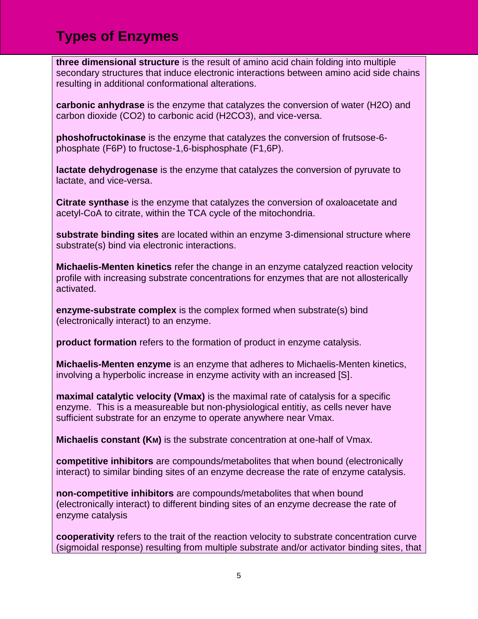**three dimensional structure** is the result of amino acid chain folding into multiple secondary structures that induce electronic interactions between amino acid side chains resulting in additional conformational alterations.

**carbonic anhydrase** is the enzyme that catalyzes the conversion of water (H2O) and carbon dioxide (CO2) to carbonic acid (H2CO3), and vice-versa.

**phoshofructokinase** is the enzyme that catalyzes the conversion of frutsose-6 phosphate (F6P) to fructose-1,6-bisphosphate (F1,6P).

**lactate dehydrogenase** is the enzyme that catalyzes the conversion of pyruvate to lactate, and vice-versa.

**Citrate synthase** is the enzyme that catalyzes the conversion of oxaloacetate and acetyl-CoA to citrate, within the TCA cycle of the mitochondria.

**substrate binding sites** are located within an enzyme 3-dimensional structure where substrate(s) bind via electronic interactions.

**Michaelis-Menten kinetics** refer the change in an enzyme catalyzed reaction velocity profile with increasing substrate concentrations for enzymes that are not allosterically activated.

**enzyme-substrate complex** is the complex formed when substrate(s) bind (electronically interact) to an enzyme.

**product formation** refers to the formation of product in enzyme catalysis.

**Michaelis-Menten enzyme** is an enzyme that adheres to Michaelis-Menten kinetics, involving a hyperbolic increase in enzyme activity with an increased [S].

**maximal catalytic velocity (Vmax)** is the maximal rate of catalysis for a specific enzyme. This is a measureable but non-physiological entitiy, as cells never have sufficient substrate for an enzyme to operate anywhere near Vmax.

**Michaelis constant (KM)** is the substrate concentration at one-half of Vmax.

**competitive inhibitors** are compounds/metabolites that when bound (electronically interact) to similar binding sites of an enzyme decrease the rate of enzyme catalysis.

**non-competitive inhibitors** are compounds/metabolites that when bound (electronically interact) to different binding sites of an enzyme decrease the rate of enzyme catalysis

**cooperativity** refers to the trait of the reaction velocity to substrate concentration curve (sigmoidal response) resulting from multiple substrate and/or activator binding sites, that